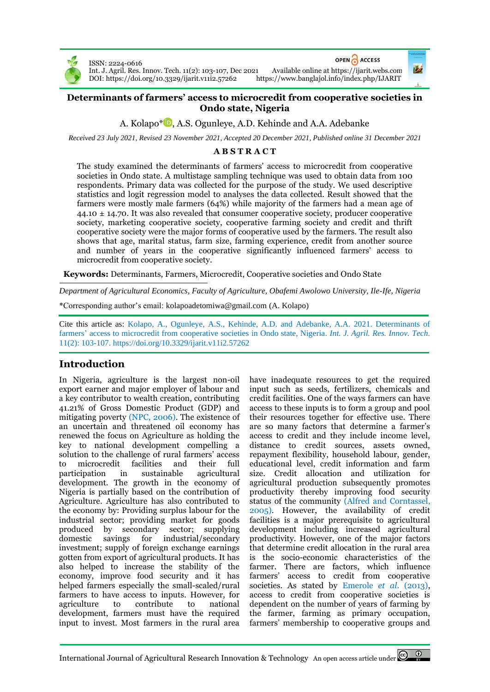

ISSN: 2224-0616 DOI[: https://doi.org/10.3329/ijarit.v11i2.57262](https://doi.org/10.3329/ijarit.v11i2.57262)



Int. J. Agril. Res. Innov. Tech. 11(2): 103-107, Dec 2021 Available online a[t https://ijarit.webs.com](http://ijarit.webs.com/)

## **Determinants of farmers' access to microcredit from cooperative societies in Ondo state, Nigeria**

A. Kolapo<sup>\*</sup> D. A.S. Ogunleye[,](https://orcid.org/0000-0002-0808-1293) A.D. Kehinde and A.A. Adebanke

*Received 23 July 2021, Revised 23 November 2021, Accepted 20 December 2021, Published online 31 December 2021*

# **A B S T R A C T**

The study examined the determinants of farmers' access to microcredit from cooperative societies in Ondo state. A multistage sampling technique was used to obtain data from 100 respondents. Primary data was collected for the purpose of the study. We used descriptive statistics and logit regression model to analyses the data collected. Result showed that the farmers were mostly male farmers (64%) while majority of the farmers had a mean age of 44.10 ± 14.70. It was also revealed that consumer cooperative society, producer cooperative society, marketing cooperative society, cooperative farming society and credit and thrift cooperative society were the major forms of cooperative used by the farmers. The result also shows that age, marital status, farm size, farming experience, credit from another source and number of years in the cooperative significantly influenced farmers' access to microcredit from cooperative society.

**Keywords:** Determinants, Farmers, Microcredit, Cooperative societies and Ondo State

*Department of Agricultural Economics, Faculty of Agriculture, Obafemi Awolowo University, Ile-Ife, Nigeria*

\*Corresponding author's email: kolapoadetomiwa@gmail.com (A. Kolapo)

Cite this article as: Kolapo, A., Ogunleye, A.S., Kehinde, A.D. and Adebanke, A.A. 2021. Determinants of farmers' access to microcredit from cooperative societies in Ondo state, Nigeria. *Int. J. Agril. Res. Innov. Tech.* 11(2): 103-107. <https://doi.org/10.3329/ijarit.v11i2.57262>

# **Introduction**

In Nigeria, agriculture is the largest non-oil export earner and major employer of labour and a key contributor to wealth creation, contributing 41.21% of Gross Domestic Product (GDP) and mitigating poverty (NPC, 2006). The existence of an uncertain and threatened oil economy has renewed the focus on Agriculture as holding the key to national development compelling a solution to the challenge of rural farmers' access to microcredit facilities and their full participation in sustainable agricultural development. The growth in the economy of Nigeria is partially based on the contribution of Agriculture. Agriculture has also contributed to the economy by: Providing surplus labour for the industrial sector; providing market for goods produced by secondary sector; supplying domestic savings for industrial/secondary investment; supply of foreign exchange earnings gotten from export of agricultural products. It has also helped to increase the stability of the economy, improve food security and it has helped farmers especially the small-scaled/rural farmers to have access to inputs. However, for agriculture to contribute to national development, farmers must have the required input to invest. Most farmers in the rural area

have inadequate resources to get the required input such as seeds, fertilizers, chemicals and credit facilities. One of the ways farmers can have access to these inputs is to form a group and pool their resources together for effective use. There are so many factors that determine a farmer's access to credit and they include income level, distance to credit sources, assets owned, repayment flexibility, household labour, gender, educational level, credit information and farm size. Credit allocation and utilization for agricultural production subsequently promotes productivity thereby improving food security status of the community (Alfred and Corntassel, 2005). However, the availability of credit facilities is a major prerequisite to agricultural development including increased agricultural productivity. However, one of the major factors that determine credit allocation in the rural area is the socio-economic characteristics of the farmer. There are factors, which influence farmers' access to credit from cooperative societies. As stated by Emerole *et al.* (2013), access to credit from cooperative societies is dependent on the number of years of farming by the farmer, farming as primary occupation, farmers' membership to cooperative groups and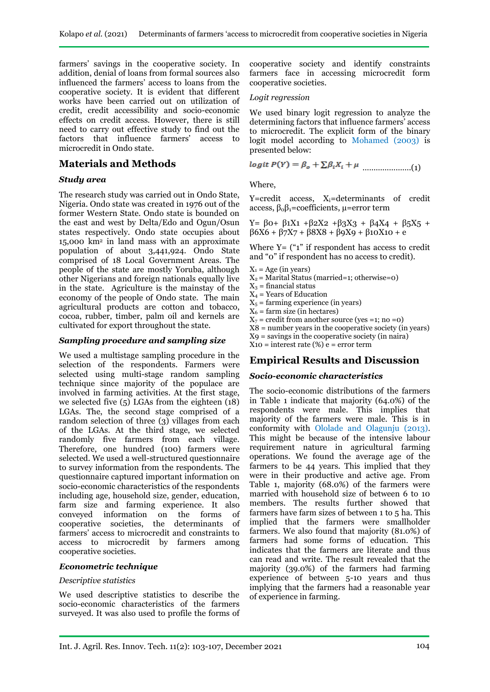farmers' savings in the cooperative society. In addition, denial of loans from formal sources also influenced the farmers' access to loans from the cooperative society. It is evident that different works have been carried out on utilization of credit, credit accessibility and socio-economic effects on credit access. However, there is still need to carry out effective study to find out the factors that influence farmers' access to microcredit in Ondo state.

### **Materials and Methods**

#### *Study area*

The research study was carried out in Ondo State, Nigeria. Ondo state was created in 1976 out of the former Western State. Ondo state is bounded on the east and west by Delta/Edo and Ogun/Osun states respectively. Ondo state occupies about 15,000 km<sup>2</sup> in land mass with an approximate population of about 3,441,924. Ondo State comprised of 18 Local Government Areas. The people of the state are mostly Yoruba, although other Nigerians and foreign nationals equally live in the state. Agriculture is the mainstay of the economy of the people of Ondo state. The main agricultural products are cotton and tobacco, cocoa, rubber, timber, palm oil and kernels are cultivated for export throughout the state.

### *Sampling procedure and sampling size*

We used a multistage sampling procedure in the selection of the respondents. Farmers were selected using multi-stage random sampling technique since majority of the populace are involved in farming activities. At the first stage, we selected five  $(5)$  LGAs from the eighteen  $(18)$ LGAs. The, the second stage comprised of a random selection of three (3) villages from each of the LGAs. At the third stage, we selected randomly five farmers from each village. Therefore, one hundred (100) farmers were selected. We used a well-structured questionnaire to survey information from the respondents. The questionnaire captured important information on socio-economic characteristics of the respondents including age, household size, gender, education, farm size and farming experience. It also conveyed information on the forms of cooperative societies, the determinants of farmers' access to microcredit and constraints to access to microcredit by farmers among cooperative societies.

#### *Econometric technique*

#### *Descriptive statistics*

We used descriptive statistics to describe the socio-economic characteristics of the farmers surveyed. It was also used to profile the forms of

cooperative society and identify constraints farmers face in accessing microcredit form cooperative societies.

#### *Logit regression*

We used binary logit regression to analyze the determining factors that influence farmers' access to microcredit. The explicit form of the binary logit model according to Mohamed (2003) is presented below:

$$
logit P(Y) = \beta_o + \sum \beta_i X_i + \mu
$$
 ....... (1)

Where,

Y=credit access, X<sub>i</sub>=determinants of credit access,  $β<sub>0</sub>β<sub>1</sub>=$ coefficients,  $μ=error$  term

Y= β0+ β1X1 +β2X2 +β3X3 + β4X4 + β5X5 +  $β6X6 + β7X7 + β8X8 + β9X9 + β10X10 + e$ 

Where  $Y = ("1"$  if respondent has access to credit and "0" if respondent has no access to credit).

- $X_1$  = Age (in years)
- $X_2$  = Marital Status (married=1; otherwise=0)
- $X_3$  = financial status
- $X_4$  = Years of Education
- $X<sub>5</sub>$  = farming experience (in years)
- $X_6$  = farm size (in hectares)

 $X_7$  = credit from another source (yes =1; no =0)

 $X8$  = number years in the cooperative society (in years)

X9 = savings in the cooperative society (in naira)

 $X10 =$  interest rate  $(\%) e =$  error term

## **Empirical Results and Discussion**

### *Socio-economic characteristics*

The socio-economic distributions of the farmers in Table 1 indicate that majority (64.0%) of the respondents were male. This implies that majority of the farmers were male. This is in conformity with Ololade and Olagunju (2013). This might be because of the intensive labour requirement nature in agricultural farming operations. We found the average age of the farmers to be 44 years. This implied that they were in their productive and active age. From Table 1, majority (68.0%) of the farmers were married with household size of between 6 to 10 members. The results further showed that farmers have farm sizes of between 1 to 5 ha. This implied that the farmers were smallholder farmers. We also found that majority (81.0%) of farmers had some forms of education. This indicates that the farmers are literate and thus can read and write. The result revealed that the majority (39.0%) of the farmers had farming experience of between 5-10 years and thus implying that the farmers had a reasonable year of experience in farming.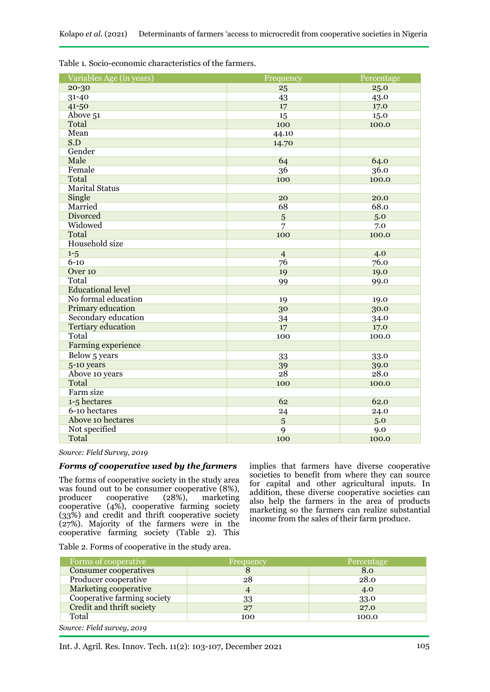| Variables Age (in years)  | Frequency      | Percentage |  |
|---------------------------|----------------|------------|--|
| 20-30                     | 25             | 25.0       |  |
| 31-40                     | 43             | 43.0       |  |
| $41 - 50$                 | 17             | 17.0       |  |
| Above 51                  | 15             | 15.0       |  |
| Total                     | 100            | 100.0      |  |
| Mean                      | 44.10          |            |  |
| S.D                       | 14.70          |            |  |
| Gender                    |                |            |  |
| Male                      | 64             | 64.0       |  |
| Female                    | 36             | 36.0       |  |
| Total                     | 100            | 100.0      |  |
| <b>Marital Status</b>     |                |            |  |
| Single                    | 20             | 20.0       |  |
| Married                   | 68             | 68.0       |  |
| <b>Divorced</b>           | 5              | 5.0        |  |
| Widowed                   | 7              | 7.0        |  |
| Total                     | 100            | 100.0      |  |
| <b>Household</b> size     |                |            |  |
| $1 - 5$                   | $\overline{4}$ | 4.0        |  |
| $6 - 10$                  | 76             | 76.0       |  |
| Over 10                   | 19             | 19.0       |  |
| Total                     | 99             | 99.0       |  |
| <b>Educational level</b>  |                |            |  |
| No formal education       | 19             | 19.0       |  |
| <b>Primary education</b>  | 30             | 30.0       |  |
| Secondary education       | 34<br>34.0     |            |  |
| <b>Tertiary education</b> | 17.0<br>17     |            |  |
| Total                     | 100            | 100.0      |  |
| Farming experience        |                |            |  |
| Below 5 years             | 33             | 33.0       |  |
| 5-10 years                | 39             | 39.0       |  |
| Above 10 years            | 28.0<br>28     |            |  |
| Total                     | 100            | 100.0      |  |
| Farm size                 |                |            |  |
| 1-5 hectares              | 62             | 62.0       |  |
| 6-10 hectares             | 24             | 24.0       |  |
| Above 10 hectares         | 5              | 5.0        |  |
| Not specified             | 9              | 9.0        |  |
| Total                     | 100            | 100.0      |  |

Table 1. Socio-economic characteristics of the farmers.

*Source: Field Survey, 2019* 

### *Forms of cooperative used by the farmers*

The forms of cooperative society in the study area was found out to be consumer cooperative (8%),<br>producer cooperative (28%), marketing  $cooperative$  (28%), marketing cooperative (4%), cooperative farming society (33%) and credit and thrift cooperative society (27%). Majority of the farmers were in the cooperative farming society (Table 2). This

implies that farmers have diverse cooperative societies to benefit from where they can source for capital and other agricultural inputs. In addition, these diverse cooperative societies can also help the farmers in the area of products marketing so the farmers can realize substantial income from the sales of their farm produce.

Table 2. Forms of cooperative in the study area.

| Forms of cooperative         | Frequency | Percentage |  |
|------------------------------|-----------|------------|--|
| <b>Consumer cooperatives</b> | O         | 8.0        |  |
| Producer cooperative         | 28        | 28.0       |  |
| <b>Marketing cooperative</b> |           | 4.0        |  |
| Cooperative farming society  | 33        | 33.0       |  |
| Credit and thrift society    | 27        | 27.0       |  |
| Total                        | 100       | 100.0      |  |

*Source: Field survey, 2019*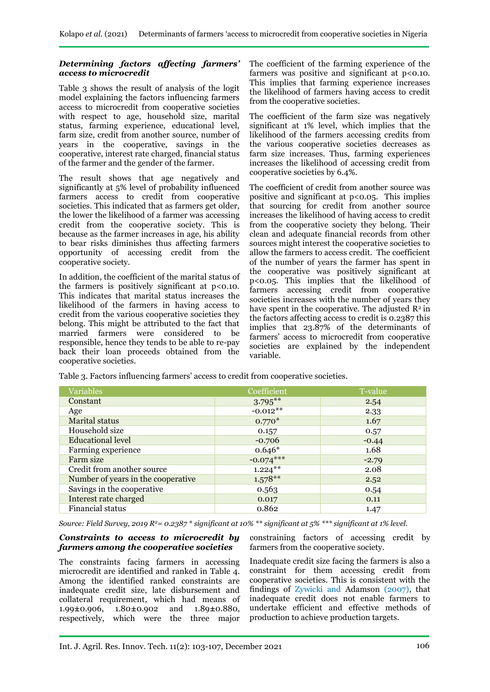## *Determining factors affecting farmers' access to microcredit*

Table 3 shows the result of analysis of the logit model explaining the factors influencing farmers access to microcredit from cooperative societies with respect to age, household size, marital status, farming experience, educational level, farm size, credit from another source, number of years in the cooperative, savings in the cooperative, interest rate charged, financial status of the farmer and the gender of the farmer.

The result shows that age negatively and significantly at 5% level of probability influenced farmers access to credit from cooperative societies. This indicated that as farmers get older, the lower the likelihood of a farmer was accessing credit from the cooperative society. This is because as the farmer increases in age, his ability to bear risks diminishes thus affecting farmers opportunity of accessing credit from the cooperative society.

In addition, the coefficient of the marital status of the farmers is positively significant at  $p < 0.10$ . This indicates that marital status increases the likelihood of the farmers in having access to credit from the various cooperative societies they belong. This might be attributed to the fact that married farmers were considered to be responsible, hence they tends to be able to re-pay back their loan proceeds obtained from the cooperative societies.

The coefficient of the farming experience of the farmers was positive and significant at  $p$ <0.10. This implies that farming experience increases the likelihood of farmers having access to credit from the cooperative societies.

The coefficient of the farm size was negatively significant at 1% level, which implies that the likelihood of the farmers accessing credits from the various cooperative societies decreases as farm size increases. Thus, farming experiences increases the likelihood of accessing credit from cooperative societies by 6.4%.

The coefficient of credit from another source was positive and significant at  $p < 0.05$ . This implies that sourcing for credit from another source increases the likelihood of having access to credit from the cooperative society they belong. Their clean and adequate financial records from other sources might interest the cooperative societies to allow the farmers to access credit. The coefficient of the number of years the farmer has spent in the cooperative was positively significant at p<0.05. This implies that the likelihood of farmers accessing credit from cooperative societies increases with the number of years they have spent in the cooperative. The adjusted  $\mathbb{R}^2$  in the factors affecting access to credit is 0.2387 this implies that 23.87% of the determinants of farmers' access to microcredit from cooperative societies are explained by the independent variable.

Table 3. Factors influencing farmers' access to credit from cooperative societies.

| <b>Variables</b>                   | Coefficient | T-value |
|------------------------------------|-------------|---------|
| Constant                           | $3.795***$  | 2.54    |
| Age                                | $-0.012**$  | 2.33    |
| <b>Marital status</b>              | $0.770*$    | 1.67    |
| Household size                     | 0.157       | 0.57    |
| <b>Educational level</b>           | $-0.706$    | $-0.44$ |
| Farming experience                 | $0.646*$    | 1.68    |
| Farm size                          | $-0.074***$ | $-2.79$ |
| Credit from another source         | $1.224***$  | 2.08    |
| Number of years in the cooperative | $1.578**$   | 2.52    |
| Savings in the cooperative         | 0.563       | 0.54    |
| Interest rate charged              | 0.017       | 0.11    |
| Financial status                   | 0.862       | 1.47    |

*Source: Field Survey, 2019 R<sup>2</sup>= 0.2387 \* significant at 10% \*\* significant at 5% \*\*\* significant at 1% level.*

### *Constraints to access to microcredit by farmers among the cooperative societies*

The constraints facing farmers in accessing microcredit are identified and ranked in Table 4. Among the identified ranked constraints are inadequate credit size, late disbursement and collateral requirement, which had means of 1.99**±**0.906, 1.80**±**0.902 and 1.89**±**0.880, respectively, which were the three major

constraining factors of accessing credit by farmers from the cooperative society.

Inadequate credit size facing the farmers is also a constraint for them accessing credit from cooperative societies. This is consistent with the findings of Zywicki and Adamson (2007), that inadequate credit does not enable farmers to undertake efficient and effective methods of production to achieve production targets.